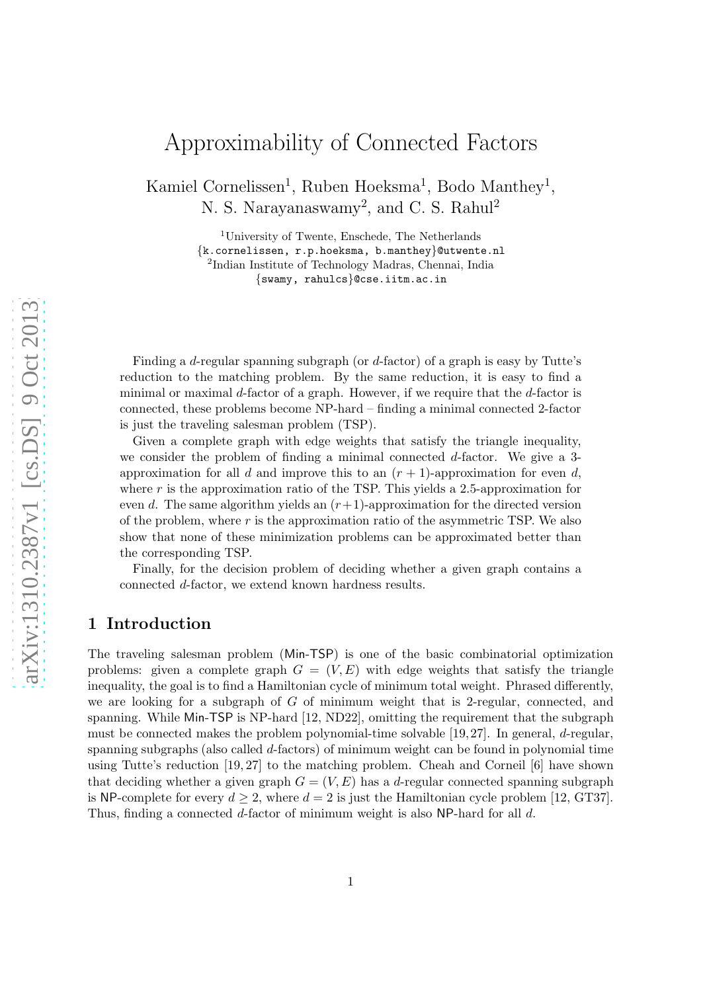# Approximability of Connected Factors

Kamiel Cornelissen<sup>1</sup>, Ruben Hoeksma<sup>1</sup>, Bodo Manthey<sup>1</sup>, N. S. Narayanaswamy<sup>2</sup>, and C. S. Rahul<sup>2</sup>

> <sup>1</sup>University of Twente, Enschede, The Netherlands {k.cornelissen, r.p.hoeksma, b.manthey}@utwente.nl 2 Indian Institute of Technology Madras, Chennai, India {swamy, rahulcs}@cse.iitm.ac.in

Finding a d-regular spanning subgraph (or d-factor) of a graph is easy by Tutte's reduction to the matching problem. By the same reduction, it is easy to find a minimal or maximal d-factor of a graph. However, if we require that the d-factor is connected, these problems become NP-hard – finding a minimal connected 2-factor is just the traveling salesman problem (TSP).

Given a complete graph with edge weights that satisfy the triangle inequality, we consider the problem of finding a minimal connected d-factor. We give a 3 approximation for all d and improve this to an  $(r + 1)$ -approximation for even d, where r is the approximation ratio of the TSP. This yields a 2.5-approximation for even d. The same algorithm yields an  $(r+1)$ -approximation for the directed version of the problem, where  $r$  is the approximation ratio of the asymmetric TSP. We also show that none of these minimization problems can be approximated better than the corresponding TSP.

Finally, for the decision problem of deciding whether a given graph contains a connected d-factor, we extend known hardness results.

## 1 Introduction

The traveling salesman problem (Min-TSP) is one of the basic combinatorial optimization problems: given a complete graph  $G = (V, E)$  with edge weights that satisfy the triangle inequality, the goal is to find a Hamiltonian cycle of minimum total weight. Phrased differently, we are looking for a subgraph of G of minimum weight that is 2-regular, connected, and spanning. While Min-TSP is NP-hard [12, ND22], omitting the requirement that the subgraph must be connected makes the problem polynomial-time solvable [19, 27]. In general, d-regular, spanning subgraphs (also called d-factors) of minimum weight can be found in polynomial time using Tutte's reduction [19, 27] to the matching problem. Cheah and Corneil [6] have shown that deciding whether a given graph  $G = (V, E)$  has a d-regular connected spanning subgraph is NP-complete for every  $d \geq 2$ , where  $d = 2$  is just the Hamiltonian cycle problem [12, GT37]. Thus, finding a connected d-factor of minimum weight is also NP-hard for all d.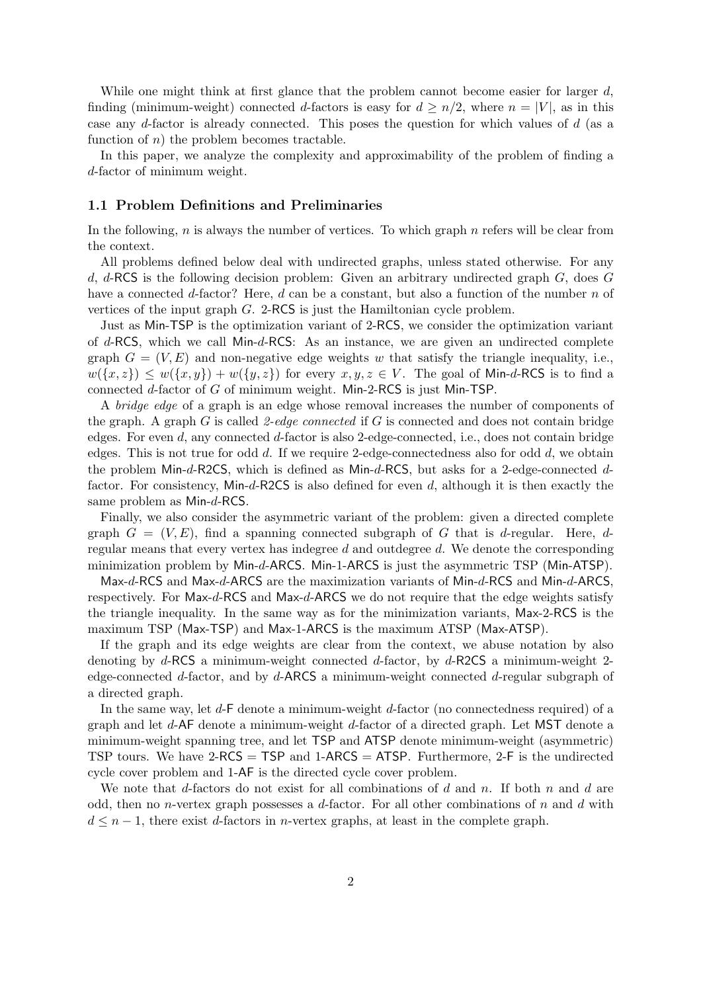While one might think at first glance that the problem cannot become easier for larger  $d$ , finding (minimum-weight) connected d-factors is easy for  $d \geq n/2$ , where  $n = |V|$ , as in this case any d-factor is already connected. This poses the question for which values of d (as a function of  $n$ ) the problem becomes tractable.

In this paper, we analyze the complexity and approximability of the problem of finding a d-factor of minimum weight.

#### 1.1 Problem Definitions and Preliminaries

In the following,  $n$  is always the number of vertices. To which graph  $n$  refers will be clear from the context.

All problems defined below deal with undirected graphs, unless stated otherwise. For any d, d-RCS is the following decision problem: Given an arbitrary undirected graph  $G$ , does  $G$ have a connected d-factor? Here, d can be a constant, but also a function of the number  $n$  of vertices of the input graph G. 2-RCS is just the Hamiltonian cycle problem.

Just as Min-TSP is the optimization variant of 2-RCS, we consider the optimization variant of d-RCS, which we call Min-d-RCS: As an instance, we are given an undirected complete graph  $G = (V, E)$  and non-negative edge weights w that satisfy the triangle inequality, i.e.,  $w(\lbrace x,z \rbrace) \leq w(\lbrace x,y \rbrace) + w(\lbrace y,z \rbrace)$  for every  $x, y, z \in V$ . The goal of Min-d-RCS is to find a connected d-factor of G of minimum weight. Min-2-RCS is just Min-TSP.

A bridge edge of a graph is an edge whose removal increases the number of components of the graph. A graph  $G$  is called 2-edge connected if  $G$  is connected and does not contain bridge edges. For even  $d$ , any connected  $d$ -factor is also 2-edge-connected, i.e., does not contain bridge edges. This is not true for odd  $d$ . If we require 2-edge-connectedness also for odd  $d$ , we obtain the problem Min-d-R2CS, which is defined as Min-d-RCS, but asks for a 2-edge-connected dfactor. For consistency, Min-d-R2CS is also defined for even d, although it is then exactly the same problem as Min-d-RCS.

Finally, we also consider the asymmetric variant of the problem: given a directed complete graph  $G = (V, E)$ , find a spanning connected subgraph of G that is d-regular. Here, dregular means that every vertex has indegree  $d$  and outdegree  $d$ . We denote the corresponding minimization problem by Min-d-ARCS. Min-1-ARCS is just the asymmetric TSP (Min-ATSP).

Max-d-RCS and Max-d-ARCS are the maximization variants of Min-d-RCS and Min-d-ARCS, respectively. For Max-d-RCS and Max-d-ARCS we do not require that the edge weights satisfy the triangle inequality. In the same way as for the minimization variants, Max-2-RCS is the maximum TSP (Max-TSP) and Max-1-ARCS is the maximum ATSP (Max-ATSP).

If the graph and its edge weights are clear from the context, we abuse notation by also denoting by  $d$ -RCS a minimum-weight connected  $d$ -factor, by  $d$ -R2CS a minimum-weight 2edge-connected d-factor, and by d-ARCS a minimum-weight connected d-regular subgraph of a directed graph.

In the same way, let  $d$ -F denote a minimum-weight  $d$ -factor (no connectedness required) of a graph and let d-AF denote a minimum-weight d-factor of a directed graph. Let MST denote a minimum-weight spanning tree, and let TSP and ATSP denote minimum-weight (asymmetric) TSP tours. We have  $2$ -RCS = TSP and  $1$ -ARCS = ATSP. Furthermore,  $2$ -F is the undirected cycle cover problem and 1-AF is the directed cycle cover problem.

We note that d-factors do not exist for all combinations of d and n. If both n and d are odd, then no *n*-vertex graph possesses a d-factor. For all other combinations of n and d with  $d \leq n-1$ , there exist d-factors in n-vertex graphs, at least in the complete graph.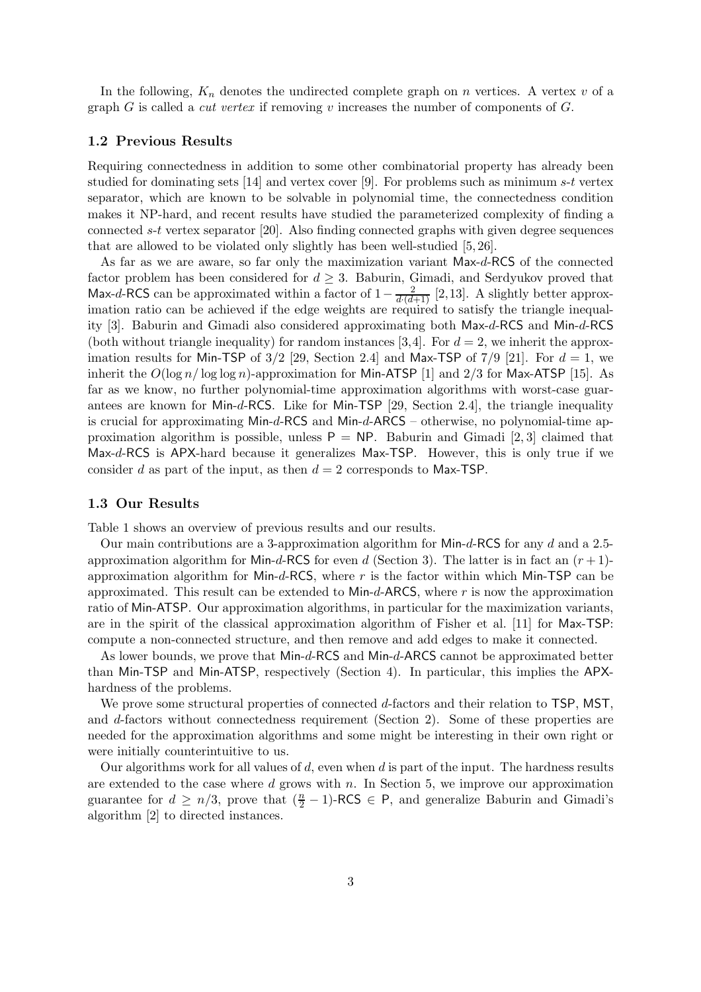In the following,  $K_n$  denotes the undirected complete graph on n vertices. A vertex v of a graph G is called a *cut vertex* if removing v increases the number of components of  $G$ .

#### 1.2 Previous Results

Requiring connectedness in addition to some other combinatorial property has already been studied for dominating sets [14] and vertex cover [9]. For problems such as minimum s-t vertex separator, which are known to be solvable in polynomial time, the connectedness condition makes it NP-hard, and recent results have studied the parameterized complexity of finding a connected s-t vertex separator [20]. Also finding connected graphs with given degree sequences that are allowed to be violated only slightly has been well-studied [5, 26].

As far as we are aware, so far only the maximization variant Max-d-RCS of the connected factor problem has been considered for  $d \geq 3$ . Baburin, Gimadi, and Serdyukov proved that Max-d-RCS can be approximated within a factor of  $1-\frac{2}{d\cdot(d+1)}$  [2,13]. A slightly better approximation ratio can be achieved if the edge weights are required to satisfy the triangle inequality [3]. Baburin and Gimadi also considered approximating both Max-d-RCS and Min-d-RCS (both without triangle inequality) for random instances [3,4]. For  $d = 2$ , we inherit the approximation results for Min-TSP of  $3/2$  [29, Section 2.4] and Max-TSP of  $7/9$  [21]. For  $d = 1$ , we inherit the  $O(\log n / \log \log n)$ -approximation for Min-ATSP [1] and 2/3 for Max-ATSP [15]. As far as we know, no further polynomial-time approximation algorithms with worst-case guarantees are known for Min-d-RCS. Like for Min-TSP [29, Section 2.4], the triangle inequality is crucial for approximating Min-d-RCS and Min-d-ARCS – otherwise, no polynomial-time approximation algorithm is possible, unless  $P = NP$ . Baburin and Gimadi [2, 3] claimed that Max-d-RCS is APX-hard because it generalizes Max-TSP. However, this is only true if we consider d as part of the input, as then  $d = 2$  corresponds to Max-TSP.

#### 1.3 Our Results

Table 1 shows an overview of previous results and our results.

Our main contributions are a 3-approximation algorithm for Min-d-RCS for any d and a 2.5 approximation algorithm for Min-d-RCS for even d (Section 3). The latter is in fact an  $(r+1)$ approximation algorithm for Min-d-RCS, where  $r$  is the factor within which Min-TSP can be approximated. This result can be extended to  $Min-d$ -ARCS, where r is now the approximation ratio of Min-ATSP. Our approximation algorithms, in particular for the maximization variants, are in the spirit of the classical approximation algorithm of Fisher et al. [11] for Max-TSP: compute a non-connected structure, and then remove and add edges to make it connected.

As lower bounds, we prove that Min-d-RCS and Min-d-ARCS cannot be approximated better than Min-TSP and Min-ATSP, respectively (Section 4). In particular, this implies the APXhardness of the problems.

We prove some structural properties of connected d-factors and their relation to TSP, MST, and d-factors without connectedness requirement (Section 2). Some of these properties are needed for the approximation algorithms and some might be interesting in their own right or were initially counterintuitive to us.

Our algorithms work for all values of  $d$ , even when  $d$  is part of the input. The hardness results are extended to the case where  $d$  grows with  $n$ . In Section 5, we improve our approximation guarantee for  $d \geq n/3$ , prove that  $(\frac{n}{2} - 1)$ -RCS  $\in$  P, and generalize Baburin and Gimadi's algorithm [2] to directed instances.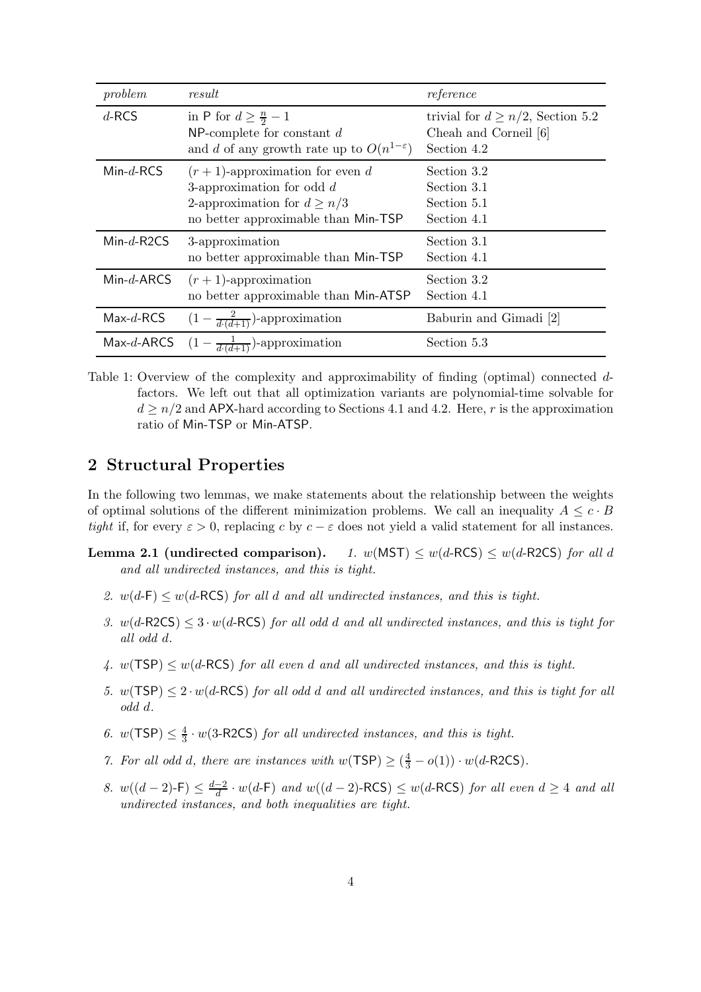| problem      | result                                                                                                                                      | reference                                                                      |
|--------------|---------------------------------------------------------------------------------------------------------------------------------------------|--------------------------------------------------------------------------------|
| $d$ -RCS     | in P for $d \geq \frac{n}{2} - 1$<br>NP-complete for constant $d$<br>and d of any growth rate up to $O(n^{1-\epsilon})$                     | trivial for $d \geq n/2$ , Section 5.2<br>Cheah and Corneil [6]<br>Section 4.2 |
| $Min-d-RCS$  | $(r+1)$ -approximation for even d<br>3-approximation for odd $d$<br>2-approximation for $d \geq n/3$<br>no better approximable than Min-TSP | Section 3.2<br>Section 3.1<br>Section 5.1<br>Section 4.1                       |
| $Min-d-R2CS$ | 3-approximation<br>no better approximable than Min-TSP                                                                                      | Section 3.1<br>Section 4.1                                                     |
| $Min-d-ARCS$ | $(r+1)$ -approximation<br>no better approximable than Min-ATSP                                                                              | Section 3.2<br>Section 4.1                                                     |
| $Max-d-RCS$  | $(1-\frac{2}{d\cdot (d+1)})$ -approximation                                                                                                 | Baburin and Gimadi [2]                                                         |
|              | Max-d-ARCS $(1 - \frac{1}{d(d+1)})$ -approximation                                                                                          | Section 5.3                                                                    |

Table 1: Overview of the complexity and approximability of finding (optimal) connected dfactors. We left out that all optimization variants are polynomial-time solvable for  $d \geq n/2$  and APX-hard according to Sections 4.1 and 4.2. Here, r is the approximation ratio of Min-TSP or Min-ATSP.

## 2 Structural Properties

In the following two lemmas, we make statements about the relationship between the weights of optimal solutions of the different minimization problems. We call an inequality  $A \leq c \cdot B$ tight if, for every  $\varepsilon > 0$ , replacing c by  $c - \varepsilon$  does not yield a valid statement for all instances.

- **Lemma 2.1 (undirected comparison).** 1.  $w(MST) \leq w(d-RCS) \leq w(d-R2CS)$  for all d and all undirected instances, and this is tight.
	- 2.  $w(d-F) \leq w(d-RCS)$  for all d and all undirected instances, and this is tight.
	- 3.  $w(d\text{-}R2CS) \leq 3 \cdot w(d\text{-}RCS)$  for all odd d and all undirected instances, and this is tight for all odd d.
	- 4.  $w(TSP) \leq w(d-RCS)$  for all even d and all undirected instances, and this is tight.
	- 5.  $w(TSP) \leq 2 \cdot w(d-RCS)$  for all odd d and all undirected instances, and this is tight for all odd d.
	- 6.  $w(TSP) \leq \frac{4}{3}$  $\frac{4}{3} \cdot w(3\text{-}\text{R2CS})$  for all undirected instances, and this is tight.
	- 7. For all odd d, there are instances with  $w(TSP) \geq (\frac{4}{3} o(1)) \cdot w(d-R2CS)$ .
	- 8.  $w((d-2)$ -F) ≤  $\frac{d-2}{d}$  $\frac{-2}{d} \cdot w(d-\textsf{F})$  and  $w((d-2)-\textsf{RCS}) \leq w(d-\textsf{RCS})$  for all even  $d \geq 4$  and all undirected instances, and both inequalities are tight.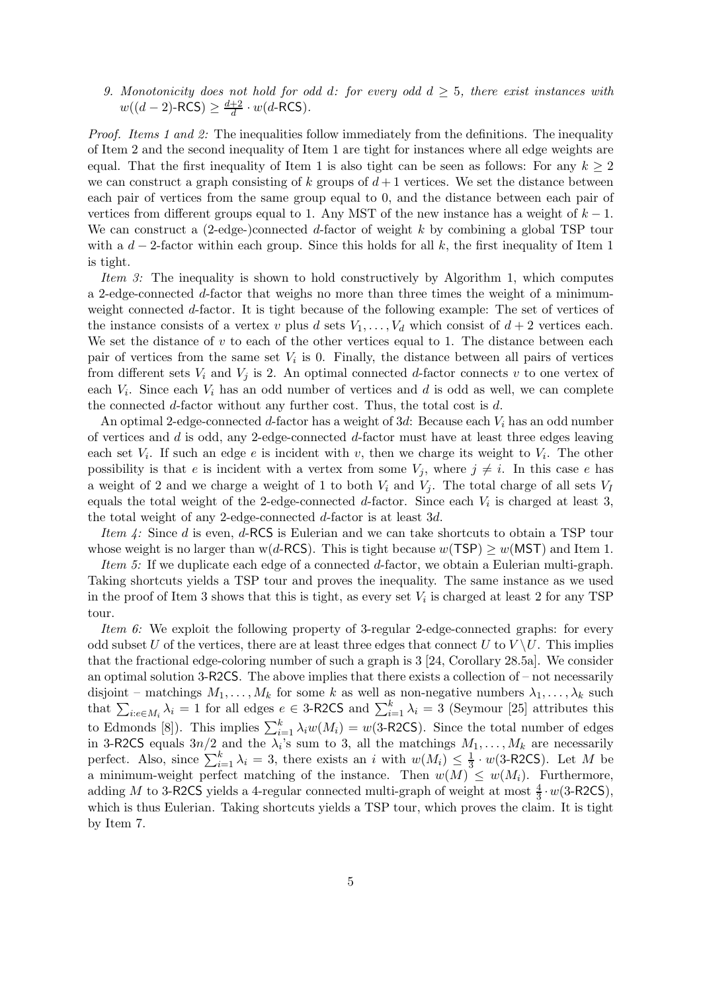9. Monotonicity does not hold for odd d: for every odd  $d \geq 5$ , there exist instances with  $w((d-2)$ -RCS)  $\geq \frac{d+2}{d}$  $\frac{+2}{d} \cdot w(d\text{-RCS})$ .

Proof. Items 1 and 2: The inequalities follow immediately from the definitions. The inequality of Item 2 and the second inequality of Item 1 are tight for instances where all edge weights are equal. That the first inequality of Item 1 is also tight can be seen as follows: For any  $k \geq 2$ we can construct a graph consisting of  $k$  groups of  $d+1$  vertices. We set the distance between each pair of vertices from the same group equal to 0, and the distance between each pair of vertices from different groups equal to 1. Any MST of the new instance has a weight of  $k - 1$ . We can construct a  $(2-\text{edge})$ -connected d-factor of weight k by combining a global TSP tour with a  $d-2$ -factor within each group. Since this holds for all k, the first inequality of Item 1 is tight.

Item 3: The inequality is shown to hold constructively by Algorithm 1, which computes a 2-edge-connected d-factor that weighs no more than three times the weight of a minimumweight connected d-factor. It is tight because of the following example: The set of vertices of the instance consists of a vertex v plus d sets  $V_1, \ldots, V_d$  which consist of  $d+2$  vertices each. We set the distance of  $v$  to each of the other vertices equal to 1. The distance between each pair of vertices from the same set  $V_i$  is 0. Finally, the distance between all pairs of vertices from different sets  $V_i$  and  $V_j$  is 2. An optimal connected d-factor connects v to one vertex of each  $V_i$ . Since each  $V_i$  has an odd number of vertices and d is odd as well, we can complete the connected d-factor without any further cost. Thus, the total cost is d.

An optimal 2-edge-connected d-factor has a weight of  $3d$ : Because each  $V_i$  has an odd number of vertices and  $d$  is odd, any 2-edge-connected  $d$ -factor must have at least three edges leaving each set  $V_i$ . If such an edge e is incident with v, then we charge its weight to  $V_i$ . The other possibility is that e is incident with a vertex from some  $V_j$ , where  $j \neq i$ . In this case e has a weight of 2 and we charge a weight of 1 to both  $V_i$  and  $V_j$ . The total charge of all sets  $V_I$ equals the total weight of the 2-edge-connected  $d$ -factor. Since each  $V_i$  is charged at least 3, the total weight of any 2-edge-connected d-factor is at least 3d.

Item  $\ddot{4}$ : Since d is even, d-RCS is Eulerian and we can take shortcuts to obtain a TSP tour whose weight is no larger than w(d-RCS). This is tight because  $w(TSP) \geq w(MST)$  and Item 1.

Item 5: If we duplicate each edge of a connected d-factor, we obtain a Eulerian multi-graph. Taking shortcuts yields a TSP tour and proves the inequality. The same instance as we used in the proof of Item 3 shows that this is tight, as every set  $V_i$  is charged at least 2 for any TSP tour.

Item 6: We exploit the following property of 3-regular 2-edge-connected graphs: for every odd subset U of the vertices, there are at least three edges that connect U to  $V \setminus U$ . This implies that the fractional edge-coloring number of such a graph is 3 [24, Corollary 28.5a]. We consider an optimal solution 3-R2CS. The above implies that there exists a collection of – not necessarily disjoint – matchings  $M_1, \ldots, M_k$  for some k as well as non-negative numbers  $\lambda_1, \ldots, \lambda_k$  such that  $\sum_{i:e \in M_i} \lambda_i = 1$  for all edges  $e \in 3$ -R2CS and  $\sum_{i=1}^k \lambda_i = 3$  (Seymour [25] attributes this to Edmonds [8]). This implies  $\sum_{i=1}^{k} \lambda_i w(M_i) = w(3\text{-}\text{R2CS})$ . Since the total number of edges in 3-R2CS equals  $3n/2$  and the  $\lambda_i$ 's sum to 3, all the matchings  $M_1, \ldots, M_k$  are necessarily perfect. Also, since  $\sum_{i=1}^{k} \lambda_i = 3$ , there exists an i with  $w(M_i) \leq \frac{1}{3} \cdot w(3\text{-}\text{R2CS})$ . Let M be a minimum-weight perfect matching of the instance. Then  $w(M) \leq w(M_i)$ . Furthermore, adding M to 3-R2CS yields a 4-regular connected multi-graph of weight at most  $\frac{4}{3} \cdot w(3\text{-}\text{R2CS})$ , which is thus Eulerian. Taking shortcuts yields a TSP tour, which proves the claim. It is tight by Item 7.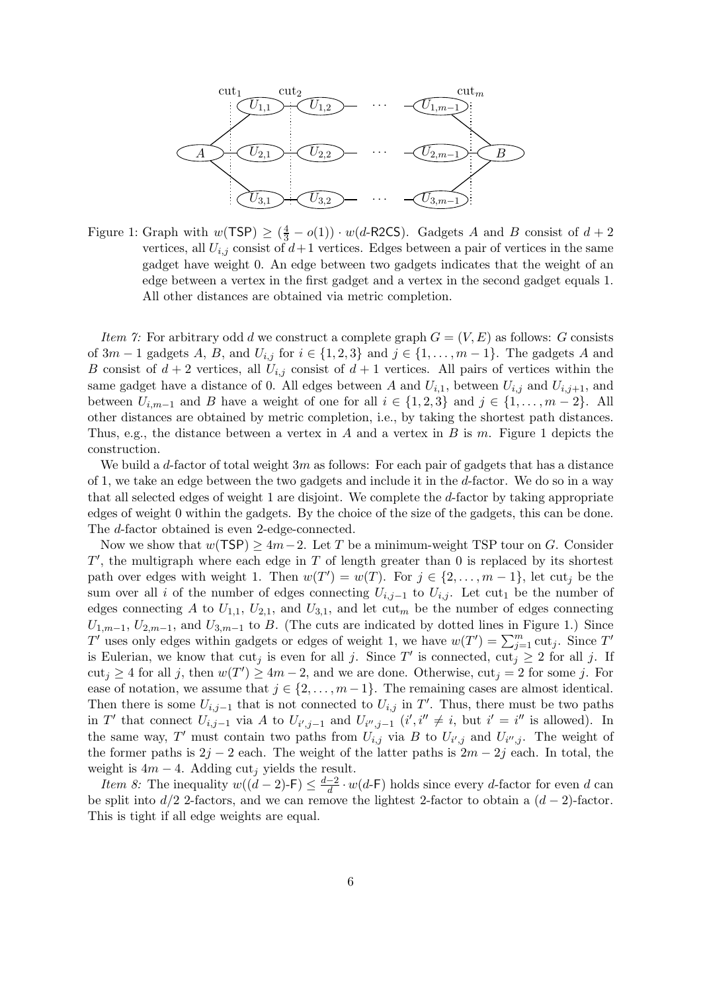

Figure 1: Graph with  $w(TSP) \ge (\frac{4}{3} - o(1)) \cdot w(d-R2CS)$ . Gadgets A and B consist of  $d+2$ vertices, all  $U_{i,j}$  consist of  $d+1$  vertices. Edges between a pair of vertices in the same gadget have weight 0. An edge between two gadgets indicates that the weight of an edge between a vertex in the first gadget and a vertex in the second gadget equals 1. All other distances are obtained via metric completion.

*Item 7:* For arbitrary odd d we construct a complete graph  $G = (V, E)$  as follows: G consists of  $3m-1$  gadgets A, B, and  $U_{i,j}$  for  $i \in \{1,2,3\}$  and  $j \in \{1,\ldots,m-1\}$ . The gadgets A and B consist of  $d+2$  vertices, all  $U_{i,j}$  consist of  $d+1$  vertices. All pairs of vertices within the same gadget have a distance of 0. All edges between A and  $U_{i,1}$ , between  $U_{i,j}$  and  $U_{i,j+1}$ , and between  $U_{i,m-1}$  and B have a weight of one for all  $i \in \{1,2,3\}$  and  $j \in \{1,\ldots,m-2\}$ . All other distances are obtained by metric completion, i.e., by taking the shortest path distances. Thus, e.g., the distance between a vertex in A and a vertex in B is m. Figure 1 depicts the construction.

We build a d-factor of total weight  $3m$  as follows: For each pair of gadgets that has a distance of 1, we take an edge between the two gadgets and include it in the d-factor. We do so in a way that all selected edges of weight 1 are disjoint. We complete the d-factor by taking appropriate edges of weight 0 within the gadgets. By the choice of the size of the gadgets, this can be done. The d-factor obtained is even 2-edge-connected.

Now we show that  $w(TSP) \geq 4m-2$ . Let T be a minimum-weight TSP tour on G. Consider  $T'$ , the multigraph where each edge in  $T$  of length greater than 0 is replaced by its shortest path over edges with weight 1. Then  $w(T') = w(T)$ . For  $j \in \{2, ..., m-1\}$ , let cut<sub>j</sub> be the sum over all i of the number of edges connecting  $U_{i,j-1}$  to  $U_{i,j}$ . Let cut<sub>1</sub> be the number of edges connecting A to  $U_{1,1}$ ,  $U_{2,1}$ , and  $U_{3,1}$ , and let cut<sub>m</sub> be the number of edges connecting  $U_{1,m-1}, U_{2,m-1},$  and  $U_{3,m-1}$  to B. (The cuts are indicated by dotted lines in Figure 1.) Since  $T'$  uses only edges within gadgets or edges of weight 1, we have  $w(T') = \sum_{j=1}^{m} \text{cut}_j$ . Since  $T'$ is Eulerian, we know that  $\text{cut}_j$  is even for all j. Since T' is connected,  $\text{cut}_j \geq 2$  for all j. If  $\text{cut}_j \geq 4$  for all j, then  $w(T') \geq 4m-2$ , and we are done. Otherwise,  $\text{cut}_j = 2$  for some j. For ease of notation, we assume that  $j \in \{2, \ldots, m-1\}$ . The remaining cases are almost identical. Then there is some  $U_{i,j-1}$  that is not connected to  $U_{i,j}$  in T'. Thus, there must be two paths in T' that connect  $U_{i,j-1}$  via A to  $U_{i',j-1}$  and  $U_{i'',j-1}$   $(i',i'' \neq i$ , but  $i' = i''$  is allowed). In the same way, T' must contain two paths from  $U_{i,j}$  via B to  $U_{i',j}$  and  $U_{i'',j}$ . The weight of the former paths is  $2j - 2$  each. The weight of the latter paths is  $2m - 2j$  each. In total, the weight is  $4m - 4$ . Adding cut<sub>i</sub> yields the result.

*Item 8:* The inequality  $w((d-2)$ -F)  $\leq \frac{d-2}{d}$  $\frac{-2}{d} \cdot w(d-\mathsf{F})$  holds since every d-factor for even d can be split into  $d/2$  2-factors, and we can remove the lightest 2-factor to obtain a  $(d-2)$ -factor. This is tight if all edge weights are equal.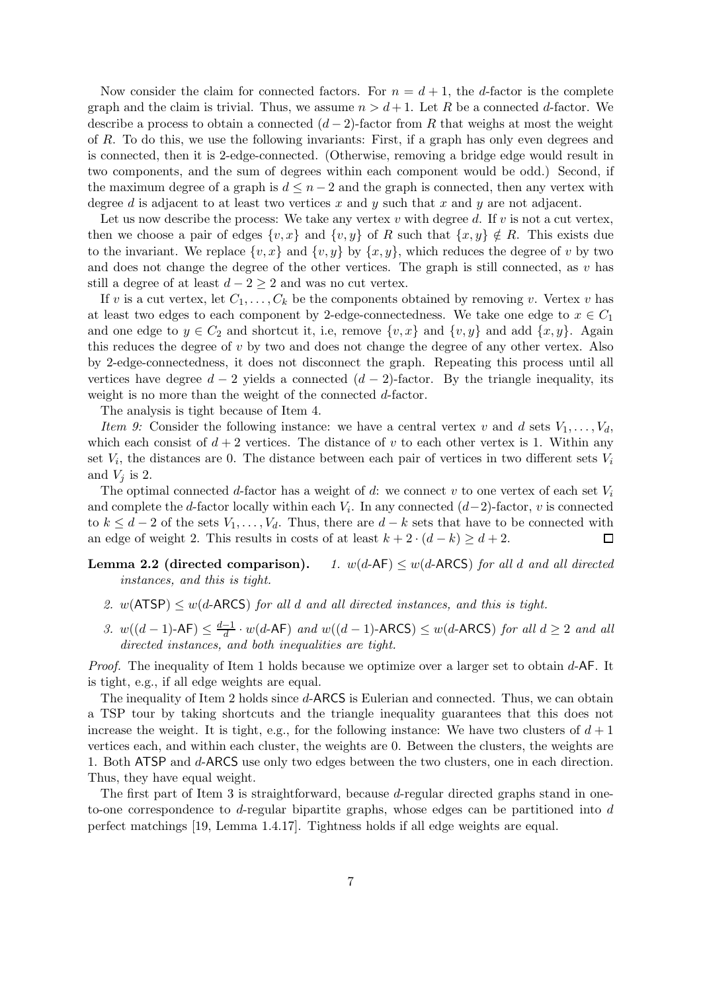Now consider the claim for connected factors. For  $n = d + 1$ , the d-factor is the complete graph and the claim is trivial. Thus, we assume  $n > d+1$ . Let R be a connected d-factor. We describe a process to obtain a connected  $(d-2)$ -factor from R that weighs at most the weight of R. To do this, we use the following invariants: First, if a graph has only even degrees and is connected, then it is 2-edge-connected. (Otherwise, removing a bridge edge would result in two components, and the sum of degrees within each component would be odd.) Second, if the maximum degree of a graph is  $d \leq n-2$  and the graph is connected, then any vertex with degree d is adjacent to at least two vertices x and y such that x and y are not adjacent.

Let us now describe the process: We take any vertex  $v$  with degree  $d$ . If  $v$  is not a cut vertex, then we choose a pair of edges  $\{v, x\}$  and  $\{v, y\}$  of R such that  $\{x, y\} \notin R$ . This exists due to the invariant. We replace  $\{v, x\}$  and  $\{v, y\}$  by  $\{x, y\}$ , which reduces the degree of v by two and does not change the degree of the other vertices. The graph is still connected, as  $v$  has still a degree of at least  $d - 2 \geq 2$  and was no cut vertex.

If v is a cut vertex, let  $C_1, \ldots, C_k$  be the components obtained by removing v. Vertex v has at least two edges to each component by 2-edge-connectedness. We take one edge to  $x \in C_1$ and one edge to  $y \in C_2$  and shortcut it, i.e, remove  $\{v, x\}$  and  $\{v, y\}$  and add  $\{x, y\}$ . Again this reduces the degree of  $v$  by two and does not change the degree of any other vertex. Also by 2-edge-connectedness, it does not disconnect the graph. Repeating this process until all vertices have degree  $d-2$  yields a connected  $(d-2)$ -factor. By the triangle inequality, its weight is no more than the weight of the connected d-factor.

The analysis is tight because of Item 4.

Item 9: Consider the following instance: we have a central vertex v and d sets  $V_1, \ldots, V_d$ , which each consist of  $d + 2$  vertices. The distance of v to each other vertex is 1. Within any set  $V_i$ , the distances are 0. The distance between each pair of vertices in two different sets  $V_i$ and  $V_j$  is 2.

The optimal connected d-factor has a weight of d: we connect v to one vertex of each set  $V_i$ and complete the d-factor locally within each  $V_i$ . In any connected  $(d-2)$ -factor, v is connected to  $k \leq d-2$  of the sets  $V_1, \ldots, V_d$ . Thus, there are  $d-k$  sets that have to be connected with an edge of weight 2. This results in costs of at least  $k + 2 \cdot (d - k) \geq d + 2$ .  $\Box$ 

**Lemma 2.2 (directed comparison).** 1.  $w(d-AF) \leq w(d-ARCS)$  for all d and all directed instances, and this is tight.

- 2.  $w(ATSP) \leq w(d-ARCS)$  for all d and all directed instances, and this is tight.
- 3.  $w((d-1)$ -AF $)$  ≤  $\frac{d-1}{d}$  $\frac{-1}{d} \cdot w(d$ -AF) and  $w((d-1)$ -ARCS)  $\leq w(d$ -ARCS) for all  $d \geq 2$  and all directed instances, and both inequalities are tight.

*Proof.* The inequality of Item 1 holds because we optimize over a larger set to obtain  $d$ -AF. It is tight, e.g., if all edge weights are equal.

The inequality of Item 2 holds since d-ARCS is Eulerian and connected. Thus, we can obtain a TSP tour by taking shortcuts and the triangle inequality guarantees that this does not increase the weight. It is tight, e.g., for the following instance: We have two clusters of  $d+1$ vertices each, and within each cluster, the weights are 0. Between the clusters, the weights are 1. Both ATSP and d-ARCS use only two edges between the two clusters, one in each direction. Thus, they have equal weight.

The first part of Item 3 is straightforward, because d-regular directed graphs stand in oneto-one correspondence to  $d$ -regular bipartite graphs, whose edges can be partitioned into  $d$ perfect matchings [19, Lemma 1.4.17]. Tightness holds if all edge weights are equal.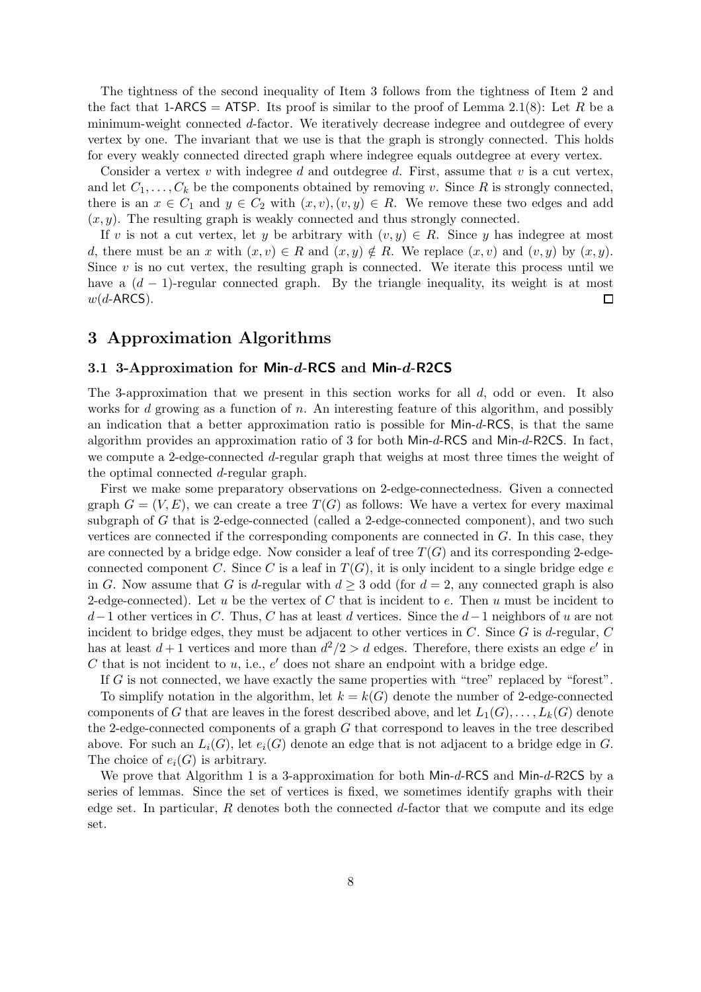The tightness of the second inequality of Item 3 follows from the tightness of Item 2 and the fact that 1-ARCS = ATSP. Its proof is similar to the proof of Lemma 2.1(8): Let R be a minimum-weight connected d-factor. We iteratively decrease indegree and outdegree of every vertex by one. The invariant that we use is that the graph is strongly connected. This holds for every weakly connected directed graph where indegree equals outdegree at every vertex.

Consider a vertex  $v$  with indegree d and outdegree d. First, assume that  $v$  is a cut vertex, and let  $C_1, \ldots, C_k$  be the components obtained by removing v. Since R is strongly connected, there is an  $x \in C_1$  and  $y \in C_2$  with  $(x, v), (v, y) \in R$ . We remove these two edges and add  $(x, y)$ . The resulting graph is weakly connected and thus strongly connected.

If v is not a cut vertex, let y be arbitrary with  $(v, y) \in R$ . Since y has indegree at most d, there must be an x with  $(x, v) \in R$  and  $(x, y) \notin R$ . We replace  $(x, v)$  and  $(v, y)$  by  $(x, y)$ . Since  $v$  is no cut vertex, the resulting graph is connected. We iterate this process until we have a  $(d-1)$ -regular connected graph. By the triangle inequality, its weight is at most  $w(d$ -ARCS).  $\Box$ 

## 3 Approximation Algorithms

## 3.1 3-Approximation for Min-d-RCS and Min-d-R2CS

The 3-approximation that we present in this section works for all  $d$ , odd or even. It also works for d growing as a function of n. An interesting feature of this algorithm, and possibly an indication that a better approximation ratio is possible for Min-d-RCS, is that the same algorithm provides an approximation ratio of 3 for both Min-d-RCS and Min-d-R2CS. In fact, we compute a 2-edge-connected d-regular graph that weighs at most three times the weight of the optimal connected d-regular graph.

First we make some preparatory observations on 2-edge-connectedness. Given a connected graph  $G = (V, E)$ , we can create a tree  $T(G)$  as follows: We have a vertex for every maximal subgraph of G that is 2-edge-connected (called a 2-edge-connected component), and two such vertices are connected if the corresponding components are connected in G. In this case, they are connected by a bridge edge. Now consider a leaf of tree  $T(G)$  and its corresponding 2-edgeconnected component C. Since C is a leaf in  $T(G)$ , it is only incident to a single bridge edge e in G. Now assume that G is d-regular with  $d \geq 3$  odd (for  $d = 2$ , any connected graph is also 2-edge-connected). Let u be the vertex of C that is incident to e. Then u must be incident to  $d-1$  other vertices in C. Thus, C has at least d vertices. Since the  $d-1$  neighbors of u are not incident to bridge edges, they must be adjacent to other vertices in  $C$ . Since  $G$  is d-regular,  $C$ has at least  $d+1$  vertices and more than  $d^2/2 > d$  edges. Therefore, there exists an edge  $e'$  in  $C$  that is not incident to  $u$ , i.e.,  $e'$  does not share an endpoint with a bridge edge.

If G is not connected, we have exactly the same properties with "tree" replaced by "forest".

To simplify notation in the algorithm, let  $k = k(G)$  denote the number of 2-edge-connected components of G that are leaves in the forest described above, and let  $L_1(G), \ldots, L_k(G)$  denote the 2-edge-connected components of a graph G that correspond to leaves in the tree described above. For such an  $L_i(G)$ , let  $e_i(G)$  denote an edge that is not adjacent to a bridge edge in G. The choice of  $e_i(G)$  is arbitrary.

We prove that Algorithm 1 is a 3-approximation for both Min-d-RCS and Min-d-R2CS by a series of lemmas. Since the set of vertices is fixed, we sometimes identify graphs with their edge set. In particular,  $R$  denotes both the connected  $d$ -factor that we compute and its edge set.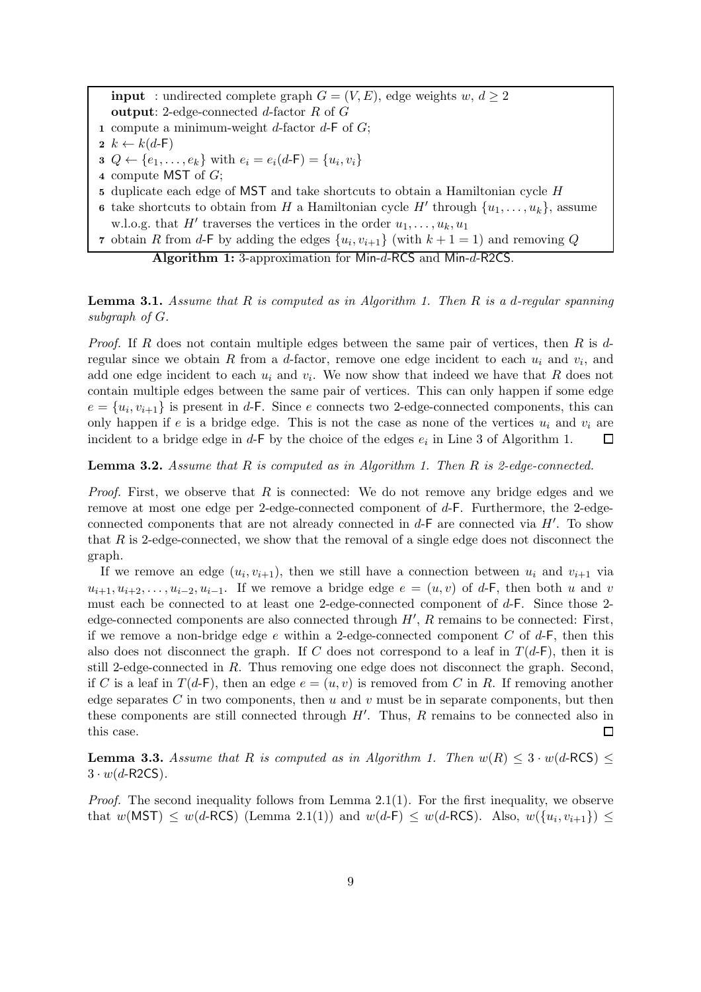**input** : undirected complete graph  $G = (V, E)$ , edge weights w,  $d \geq 2$ output: 2-edge-connected  $d$ -factor  $R$  of  $G$ 

- 1 compute a minimum-weight d-factor  $d$ -F of  $G$ ;
- $2 k \leftarrow k(d-F)$
- **3**  $Q \leftarrow \{e_1, \ldots, e_k\}$  with  $e_i = e_i(d\text{-F}) = \{u_i, v_i\}$
- <sup>4</sup> compute MST of G;
- <sup>5</sup> duplicate each edge of MST and take shortcuts to obtain a Hamiltonian cycle H
- 6 take shortcuts to obtain from H a Hamiltonian cycle H' through  $\{u_1, \ldots, u_k\}$ , assume w.l.o.g. that  $H'$  traverses the vertices in the order  $u_1, \ldots, u_k, u_1$
- 7 obtain R from d-F by adding the edges  $\{u_i, v_{i+1}\}$  (with  $k+1=1$ ) and removing Q

Algorithm 1: 3-approximation for Min-d-RCS and Min-d-R2CS.

**Lemma 3.1.** Assume that R is computed as in Algorithm 1. Then R is a d-regular spanning subgraph of  $G$ .

*Proof.* If R does not contain multiple edges between the same pair of vertices, then R is  $d$ regular since we obtain R from a d-factor, remove one edge incident to each  $u_i$  and  $v_i$ , and add one edge incident to each  $u_i$  and  $v_i$ . We now show that indeed we have that R does not contain multiple edges between the same pair of vertices. This can only happen if some edge  $e = \{u_i, v_{i+1}\}\$ is present in d-F. Since e connects two 2-edge-connected components, this can only happen if e is a bridge edge. This is not the case as none of the vertices  $u_i$  and  $v_i$  are incident to a bridge edge in  $d$ -F by the choice of the edges  $e_i$  in Line 3 of Algorithm 1.  $\Box$ 

#### **Lemma 3.2.** Assume that  $R$  is computed as in Algorithm 1. Then  $R$  is 2-edge-connected.

*Proof.* First, we observe that  $R$  is connected: We do not remove any bridge edges and we remove at most one edge per 2-edge-connected component of d-F. Furthermore, the 2-edgeconnected components that are not already connected in  $d$ -F are connected via  $H'$ . To show that  $R$  is 2-edge-connected, we show that the removal of a single edge does not disconnect the graph.

If we remove an edge  $(u_i, v_{i+1})$ , then we still have a connection between  $u_i$  and  $v_{i+1}$  via  $u_{i+1}, u_{i+2}, \ldots, u_{i-2}, u_{i-1}$ . If we remove a bridge edge  $e = (u, v)$  of d-F, then both u and v must each be connected to at least one 2-edge-connected component of d-F. Since those 2 edge-connected components are also connected through  $H'$ , R remains to be connected: First, if we remove a non-bridge edge  $e$  within a 2-edge-connected component C of  $d$ -F, then this also does not disconnect the graph. If C does not correspond to a leaf in  $T(d-F)$ , then it is still 2-edge-connected in R. Thus removing one edge does not disconnect the graph. Second, if C is a leaf in  $T(d-F)$ , then an edge  $e = (u, v)$  is removed from C in R. If removing another edge separates C in two components, then  $u$  and  $v$  must be in separate components, but then these components are still connected through  $H'$ . Thus,  $R$  remains to be connected also in this case.  $\Box$ 

**Lemma 3.3.** Assume that R is computed as in Algorithm 1. Then  $w(R) \leq 3 \cdot w(d \cdot RCS)$  $3 \cdot w(d$ -R2CS).

*Proof.* The second inequality follows from Lemma 2.1(1). For the first inequality, we observe that  $w(MST) \leq w(d-RCS)$  (Lemma 2.1(1)) and  $w(d-F) \leq w(d-RCS)$ . Also,  $w({u_i, v_{i+1}}) \leq$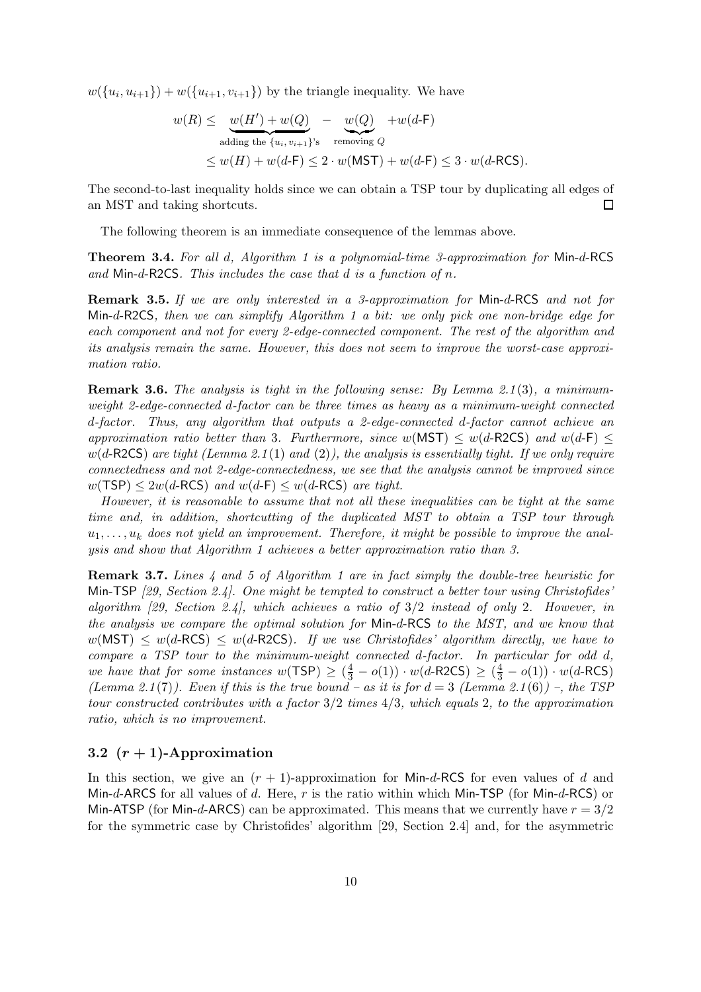$w({u_i, u_{i+1}}) + w({u_{i+1}, v_{i+1}})$  by the triangle inequality. We have

$$
w(R) \leq w(H') + w(Q) - w(Q) + w(d-F)
$$
  
adding the {*u*<sub>i</sub>, *v*<sub>i+1</sub>}<sup>'s</sup> removing *Q*  

$$
\leq w(H) + w(d-F) \leq 2 \cdot w(MST) + w(d-F) \leq 3 \cdot w(d-RCS).
$$

The second-to-last inequality holds since we can obtain a TSP tour by duplicating all edges of an MST and taking shortcuts.  $\Box$ 

The following theorem is an immediate consequence of the lemmas above.

Theorem 3.4. For all d, Algorithm 1 is a polynomial-time 3-approximation for Min-d-RCS and Min-d-R2CS. This includes the case that  $d$  is a function of  $n$ .

Remark 3.5. If we are only interested in a 3-approximation for Min-d-RCS and not for Min-d-R2CS, then we can simplify Algorithm 1 a bit: we only pick one non-bridge edge for each component and not for every 2-edge-connected component. The rest of the algorithm and its analysis remain the same. However, this does not seem to improve the worst-case approximation ratio.

Remark 3.6. The analysis is tight in the following sense: By Lemma 2.1(3), a minimumweight 2-edge-connected d-factor can be three times as heavy as a minimum-weight connected d-factor. Thus, any algorithm that outputs a 2-edge-connected d-factor cannot achieve an approximation ratio better than 3. Furthermore, since  $w(MST) \leq w(d-R2CS)$  and  $w(d-F) \leq$  $w(d-R2CS)$  are tight (Lemma 2.1(1) and (2)), the analysis is essentially tight. If we only require connectedness and not 2-edge-connectedness, we see that the analysis cannot be improved since  $w(TSP) \leq 2w(d-RCS)$  and  $w(d-F) \leq w(d-RCS)$  are tight.

However, it is reasonable to assume that not all these inequalities can be tight at the same time and, in addition, shortcutting of the duplicated MST to obtain a TSP tour through  $u_1, \ldots, u_k$  does not yield an improvement. Therefore, it might be possible to improve the analysis and show that Algorithm 1 achieves a better approximation ratio than 3.

**Remark 3.7.** Lines  $\downarrow$  and  $\ddot{o}$  of Algorithm 1 are in fact simply the double-tree heuristic for Min-TSP [29, Section 2.4]. One might be tempted to construct a better tour using Christofides' algorithm  $[29, Section 2.4]$ , which achieves a ratio of  $3/2$  instead of only 2. However, in the analysis we compare the optimal solution for Min-d-RCS to the MST, and we know that  $w(MST) \leq w(d-RCS) \leq w(d-R2CS)$ . If we use Christofides' algorithm directly, we have to compare a TSP tour to the minimum-weight connected d-factor. In particular for odd d, we have that for some instances  $w(TSP) \ge (\frac{4}{3} - o(1)) \cdot w(d-R2CS) \ge (\frac{4}{3} - o(1)) \cdot w(d-RCS)$ (Lemma 2.1(7)). Even if this is the true bound – as it is for  $d = 3$  (Lemma 2.1(6)) –, the TSP tour constructed contributes with a factor 3/2 times 4/3, which equals 2, to the approximation ratio, which is no improvement.

## 3.2  $(r + 1)$ -Approximation

In this section, we give an  $(r + 1)$ -approximation for Min-d-RCS for even values of d and Min-d-ARCS for all values of d. Here,  $r$  is the ratio within which Min-TSP (for Min-d-RCS) or Min-ATSP (for Min-d-ARCS) can be approximated. This means that we currently have  $r = 3/2$ for the symmetric case by Christofides' algorithm [29, Section 2.4] and, for the asymmetric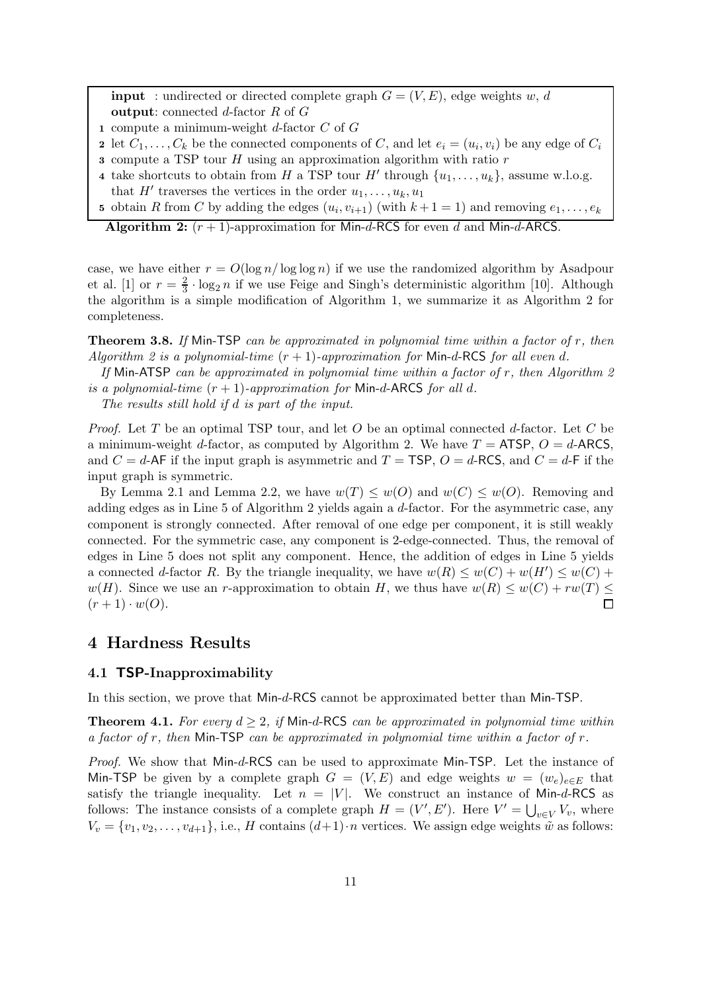**input** : undirected or directed complete graph  $G = (V, E)$ , edge weights w, d output: connected d-factor R of G

- 1 compute a minimum-weight  $d$ -factor  $C$  of  $G$
- 2 let  $C_1, \ldots, C_k$  be the connected components of C, and let  $e_i = (u_i, v_i)$  be any edge of  $C_i$
- 3 compute a TSP tour  $H$  using an approximation algorithm with ratio  $r$
- 4 take shortcuts to obtain from H a TSP tour H' through  $\{u_1, \ldots, u_k\}$ , assume w.l.o.g. that  $H'$  traverses the vertices in the order  $u_1, \ldots, u_k, u_1$
- 5 obtain R from C by adding the edges  $(u_i, v_{i+1})$  (with  $k+1=1$ ) and removing  $e_1, \ldots, e_k$

Algorithm 2:  $(r + 1)$ -approximation for Min-d-RCS for even d and Min-d-ARCS.

case, we have either  $r = O(\log n / \log \log n)$  if we use the randomized algorithm by Asadpour et al. [1] or  $r=\frac{2}{3}$  $\frac{2}{3} \cdot \log_2 n$  if we use Feige and Singh's deterministic algorithm [10]. Although the algorithm is a simple modification of Algorithm 1, we summarize it as Algorithm 2 for completeness.

**Theorem 3.8.** If Min-TSP can be approximated in polynomial time within a factor of  $r$ , then Algorithm 2 is a polynomial-time  $(r + 1)$ -approximation for Min-d-RCS for all even d.

If Min-ATSP can be approximated in polynomial time within a factor of  $r$ , then Algorithm 2 is a polynomial-time  $(r + 1)$ -approximation for Min-d-ARCS for all d.

The results still hold if d is part of the input.

*Proof.* Let T be an optimal TSP tour, and let O be an optimal connected d-factor. Let C be a minimum-weight d-factor, as computed by Algorithm 2. We have  $T = ATSP$ ,  $O = d$ -ARCS, and  $C = d$ -AF if the input graph is asymmetric and  $T = TSP$ ,  $O = d$ -RCS, and  $C = d$ -F if the input graph is symmetric.

By Lemma 2.1 and Lemma 2.2, we have  $w(T) \leq w(0)$  and  $w(C) \leq w(0)$ . Removing and adding edges as in Line 5 of Algorithm 2 yields again a d-factor. For the asymmetric case, any component is strongly connected. After removal of one edge per component, it is still weakly connected. For the symmetric case, any component is 2-edge-connected. Thus, the removal of edges in Line 5 does not split any component. Hence, the addition of edges in Line 5 yields a connected d-factor R. By the triangle inequality, we have  $w(R) \leq w(C) + w(H') \leq w(C) + w(H)$ w(H). Since we use an r-approximation to obtain H, we thus have  $w(R) \leq w(C) + rw(T) \leq$  $(r + 1) \cdot w(O)$ .  $\Box$ 

## 4 Hardness Results

#### 4.1 TSP-Inapproximability

In this section, we prove that Min-d-RCS cannot be approximated better than Min-TSP.

**Theorem 4.1.** For every  $d \geq 2$ , if Min-d-RCS can be approximated in polynomial time within a factor of r, then Min-TSP can be approximated in polynomial time within a factor of  $r$ .

Proof. We show that Min-d-RCS can be used to approximate Min-TSP. Let the instance of Min-TSP be given by a complete graph  $G = (V, E)$  and edge weights  $w = (w_e)_{e \in E}$  that satisfy the triangle inequality. Let  $n = |V|$ . We construct an instance of Min-d-RCS as follows: The instance consists of a complete graph  $H = (V', E')$ . Here  $V' = \bigcup_{v \in V} V_v$ , where  $V_v = \{v_1, v_2, \ldots, v_{d+1}\},$  i.e., H contains  $(d+1) \cdot n$  vertices. We assign edge weights  $\tilde{w}$  as follows: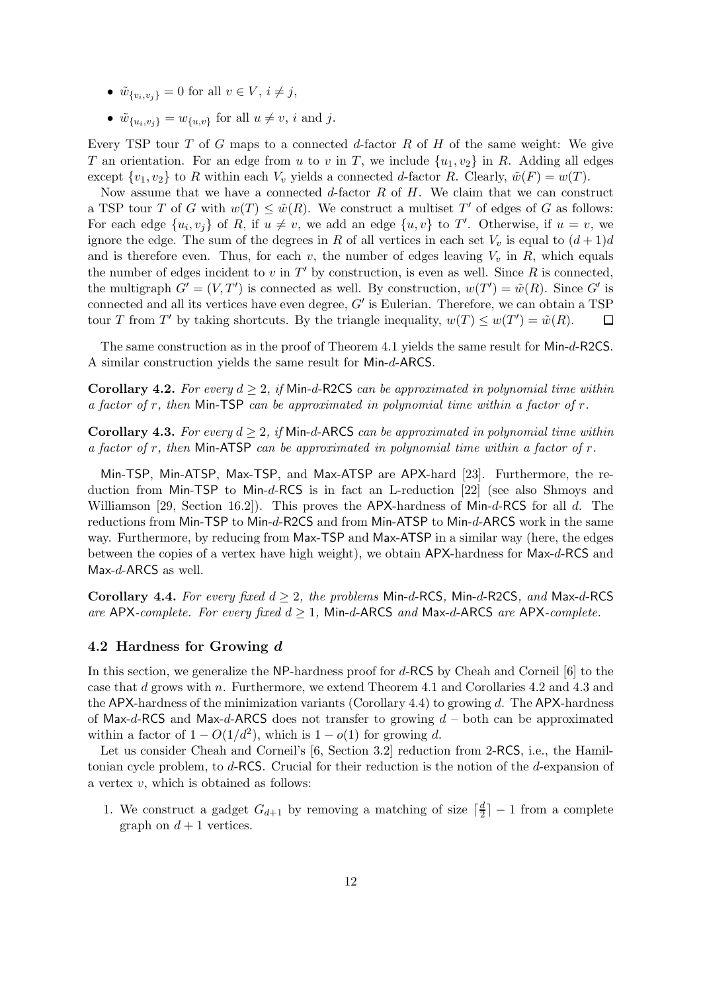- $\tilde{w}_{\{v_i, v_j\}} = 0$  for all  $v \in V, i \neq j$ ,
- $\tilde{w}_{\{u_i, v_j\}} = w_{\{u, v\}}$  for all  $u \neq v$ , i and j.

Every TSP tour T of G maps to a connected d-factor R of H of the same weight: We give T an orientation. For an edge from u to v in T, we include  $\{u_1, v_2\}$  in R. Adding all edges except  $\{v_1, v_2\}$  to R within each  $V_v$  yields a connected d-factor R. Clearly,  $\tilde{w}(F) = w(T)$ .

Now assume that we have a connected  $d$ -factor  $R$  of  $H$ . We claim that we can construct a TSP tour T of G with  $w(T) \leq \tilde{w}(R)$ . We construct a multiset T' of edges of G as follows: For each edge  $\{u_i, v_j\}$  of R, if  $u \neq v$ , we add an edge  $\{u, v\}$  to T'. Otherwise, if  $u = v$ , we ignore the edge. The sum of the degrees in R of all vertices in each set  $V_v$  is equal to  $(d+1)d$ and is therefore even. Thus, for each v, the number of edges leaving  $V_v$  in R, which equals the number of edges incident to  $v$  in  $T'$  by construction, is even as well. Since  $R$  is connected, the multigraph  $G' = (V, T')$  is connected as well. By construction,  $w(T') = \tilde{w}(R)$ . Since G' is connected and all its vertices have even degree, G' is Eulerian. Therefore, we can obtain a TSP tour T from T' by taking shortcuts. By the triangle inequality,  $w(T) \leq w(T') = \tilde{w}(R)$ .  $\Box$ 

The same construction as in the proof of Theorem 4.1 yields the same result for Min-d-R2CS. A similar construction yields the same result for Min-d-ARCS.

**Corollary 4.2.** For every  $d \geq 2$ , if Min-d-R2CS can be approximated in polynomial time within a factor of  $r$ , then Min-TSP can be approximated in polynomial time within a factor of  $r$ .

**Corollary 4.3.** For every  $d > 2$ , if Min-d-ARCS can be approximated in polynomial time within a factor of r, then Min-ATSP can be approximated in polynomial time within a factor of  $r$ .

Min-TSP, Min-ATSP, Max-TSP, and Max-ATSP are APX-hard [23]. Furthermore, the reduction from Min-TSP to Min-d-RCS is in fact an L-reduction [22] (see also Shmoys and Williamson [29, Section 16.2]). This proves the APX-hardness of Min-d-RCS for all d. The reductions from Min-TSP to Min-d-R2CS and from Min-ATSP to Min-d-ARCS work in the same way. Furthermore, by reducing from Max-TSP and Max-ATSP in a similar way (here, the edges between the copies of a vertex have high weight), we obtain APX-hardness for Max-d-RCS and Max-d-ARCS as well.

Corollary 4.4. For every fixed  $d \geq 2$ , the problems Min-d-RCS, Min-d-R2CS, and Max-d-RCS are APX-complete. For every fixed  $d \geq 1$ , Min-d-ARCS and Max-d-ARCS are APX-complete.

#### 4.2 Hardness for Growing d

In this section, we generalize the NP-hardness proof for d-RCS by Cheah and Corneil [6] to the case that d grows with n. Furthermore, we extend Theorem 4.1 and Corollaries 4.2 and 4.3 and the APX-hardness of the minimization variants (Corollary 4.4) to growing d. The APX-hardness of Max-d-RCS and Max-d-ARCS does not transfer to growing  $d$  – both can be approximated within a factor of  $1 - O(1/d^2)$ , which is  $1 - o(1)$  for growing d.

Let us consider Cheah and Corneil's [6, Section 3.2] reduction from 2-RCS, i.e., the Hamiltonian cycle problem, to d-RCS. Crucial for their reduction is the notion of the d-expansion of a vertex  $v$ , which is obtained as follows:

1. We construct a gadget  $G_{d+1}$  by removing a matching of size  $\lceil \frac{d}{2} \rceil$  $\frac{d}{2}$  | - 1 from a complete graph on  $d+1$  vertices.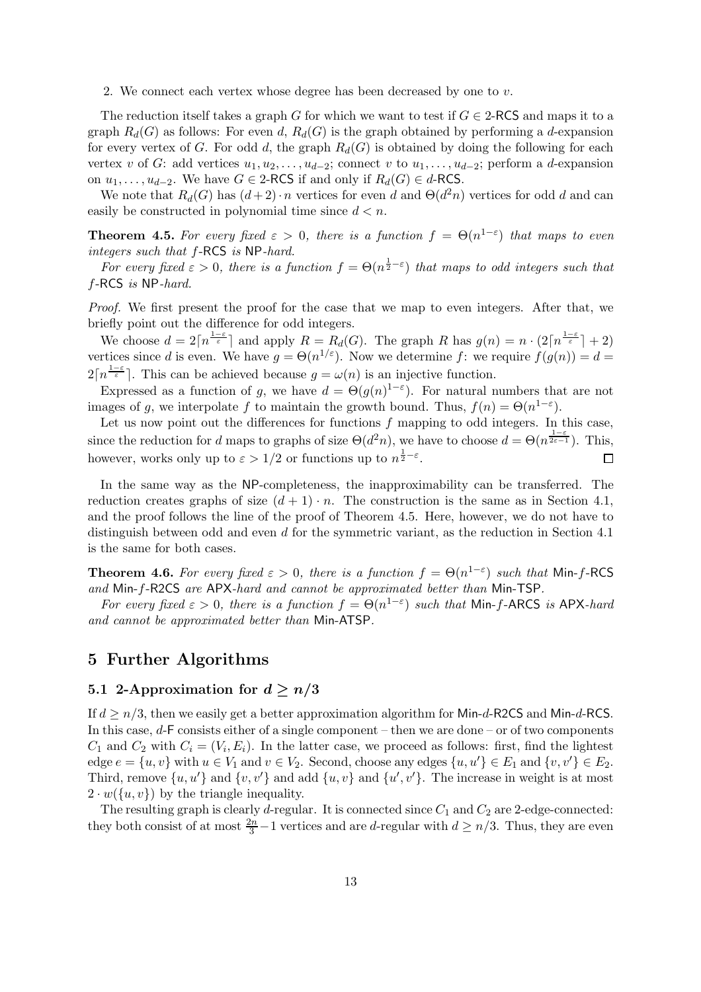2. We connect each vertex whose degree has been decreased by one to  $v$ .

The reduction itself takes a graph G for which we want to test if  $G \in 2$ -RCS and maps it to a graph  $R_d(G)$  as follows: For even d,  $R_d(G)$  is the graph obtained by performing a d-expansion for every vertex of G. For odd d, the graph  $R_d(G)$  is obtained by doing the following for each vertex v of G: add vertices  $u_1, u_2, \ldots, u_{d-2}$ ; connect v to  $u_1, \ldots, u_{d-2}$ ; perform a d-expansion on  $u_1, \ldots, u_{d-2}$ . We have  $G \in 2$ -RCS if and only if  $R_d(G) \in d$ -RCS.

We note that  $R_d(G)$  has  $(d+2) \cdot n$  vertices for even d and  $\Theta(d^2n)$  vertices for odd d and can easily be constructed in polynomial time since  $d < n$ .

**Theorem 4.5.** For every fixed  $\varepsilon > 0$ , there is a function  $f = \Theta(n^{1-\varepsilon})$  that maps to even integers such that f-RCS is NP-hard.

For every fixed  $\varepsilon > 0$ , there is a function  $f = \Theta(n^{\frac{1}{2}-\varepsilon})$  that maps to odd integers such that f-RCS is NP-hard.

Proof. We first present the proof for the case that we map to even integers. After that, we briefly point out the difference for odd integers.

We choose  $d = 2\lceil n^{\frac{1-\varepsilon}{\varepsilon}} \rceil$  and apply  $R = R_d(G)$ . The graph R has  $g(n) = n \cdot (2\lceil n^{\frac{1-\varepsilon}{\varepsilon}} \rceil + 2)$ vertices since d is even. We have  $g = \Theta(n^{1/\varepsilon})$ . Now we determine f: we require  $f(g(n)) = d$  $2\lceil n^{\frac{1-\varepsilon}{\varepsilon}}\rceil$ . This can be achieved because  $g = \omega(n)$  is an injective function.

Expressed as a function of g, we have  $d = \Theta(g(n)^{1-\epsilon})$ . For natural numbers that are not images of g, we interpolate f to maintain the growth bound. Thus,  $f(n) = \Theta(n^{1-\epsilon})$ .

Let us now point out the differences for functions  $f$  mapping to odd integers. In this case, since the reduction for d maps to graphs of size  $\Theta(d^2n)$ , we have to choose  $d = \Theta(n^{\frac{1-\varepsilon}{2\varepsilon-1}})$ . This, however, works only up to  $\varepsilon > 1/2$  or functions up to  $n^{\frac{1}{2}-\varepsilon}$ .  $\Box$ 

In the same way as the NP-completeness, the inapproximability can be transferred. The reduction creates graphs of size  $(d + 1) \cdot n$ . The construction is the same as in Section 4.1, and the proof follows the line of the proof of Theorem 4.5. Here, however, we do not have to distinguish between odd and even d for the symmetric variant, as the reduction in Section 4.1 is the same for both cases.

**Theorem 4.6.** For every fixed  $\varepsilon > 0$ , there is a function  $f = \Theta(n^{1-\varepsilon})$  such that Min-f-RCS and Min-f-R2CS are APX-hard and cannot be approximated better than Min-TSP.

For every fixed  $\varepsilon > 0$ , there is a function  $f = \Theta(n^{1-\varepsilon})$  such that Min-f-ARCS is APX-hard and cannot be approximated better than Min-ATSP.

## 5 Further Algorithms

## 5.1 2-Approximation for  $d \geq n/3$

If  $d \geq n/3$ , then we easily get a better approximation algorithm for Min-d-R2CS and Min-d-RCS. In this case, d-F consists either of a single component – then we are done – or of two components  $C_1$  and  $C_2$  with  $C_i = (V_i, E_i)$ . In the latter case, we proceed as follows: first, find the lightest edge  $e = \{u, v\}$  with  $u \in V_1$  and  $v \in V_2$ . Second, choose any edges  $\{u, u'\} \in E_1$  and  $\{v, v'\} \in E_2$ . Third, remove  $\{u, u'\}$  and  $\{v, v'\}$  and add  $\{u, v\}$  and  $\{u', v'\}$ . The increase in weight is at most  $2 \cdot w({u, v})$  by the triangle inequality.

The resulting graph is clearly d-regular. It is connected since  $C_1$  and  $C_2$  are 2-edge-connected: they both consist of at most  $\frac{2n}{3} - 1$  vertices and are d-regular with  $d \geq n/3$ . Thus, they are even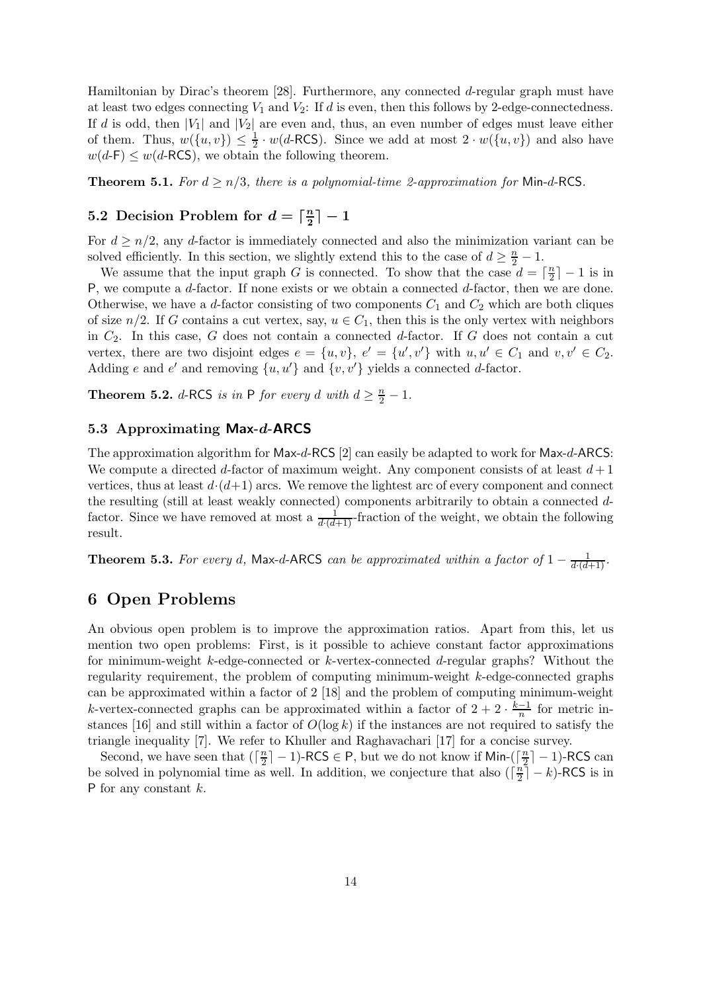Hamiltonian by Dirac's theorem [28]. Furthermore, any connected d-regular graph must have at least two edges connecting  $V_1$  and  $V_2$ : If d is even, then this follows by 2-edge-connectedness. If d is odd, then  $|V_1|$  and  $|V_2|$  are even and, thus, an even number of edges must leave either of them. Thus,  $w(\lbrace u, v \rbrace) \leq \frac{1}{2}$  $\frac{1}{2} \cdot w(d\text{-RCS})$ . Since we add at most  $2 \cdot w(\lbrace u, v \rbrace)$  and also have  $w(d-F) \leq w(d-RCS)$ , we obtain the following theorem.

**Theorem 5.1.** For  $d \ge n/3$ , there is a polynomial-time 2-approximation for Min-d-RCS.

#### 5.2 Decision Problem for  $d = \lceil \frac{n}{2} \rceil$  $\frac{n}{2}\rceil-1$

For  $d \geq n/2$ , any d-factor is immediately connected and also the minimization variant can be solved efficiently. In this section, we slightly extend this to the case of  $d \geq \frac{n}{2} - 1$ .

We assume that the input graph G is connected. To show that the case  $d = \lceil \frac{n}{2} \rceil$  $\frac{n}{2}$ ] – 1 is in P, we compute a  $d$ -factor. If none exists or we obtain a connected  $d$ -factor, then we are done. Otherwise, we have a d-factor consisting of two components  $C_1$  and  $C_2$  which are both cliques of size  $n/2$ . If G contains a cut vertex, say,  $u \in C_1$ , then this is the only vertex with neighbors in  $C_2$ . In this case, G does not contain a connected d-factor. If G does not contain a cut vertex, there are two disjoint edges  $e = \{u, v\}$ ,  $e' = \{u', v'\}$  with  $u, u' \in C_1$  and  $v, v' \in C_2$ . Adding e and e' and removing  $\{u, u'\}$  and  $\{v, v'\}$  yields a connected d-factor.

**Theorem 5.2.** d-RCS is in P for every d with  $d \geq \frac{n}{2} - 1$ .

#### 5.3 Approximating Max-d-ARCS

The approximation algorithm for Max-d-RCS [2] can easily be adapted to work for Max-d-ARCS: We compute a directed d-factor of maximum weight. Any component consists of at least  $d+1$ vertices, thus at least  $d \cdot (d+1)$  arcs. We remove the lightest arc of every component and connect the resulting (still at least weakly connected) components arbitrarily to obtain a connected dfactor. Since we have removed at most a  $\frac{1}{d\cdot(d+1)}$ -fraction of the weight, we obtain the following result.

**Theorem 5.3.** For every d, Max-d-ARCS can be approximated within a factor of  $1 - \frac{1}{d \cdot (d+1)}$ .

## 6 Open Problems

An obvious open problem is to improve the approximation ratios. Apart from this, let us mention two open problems: First, is it possible to achieve constant factor approximations for minimum-weight k-edge-connected or k-vertex-connected d-regular graphs? Without the regularity requirement, the problem of computing minimum-weight k-edge-connected graphs can be approximated within a factor of 2 [18] and the problem of computing minimum-weight k-vertex-connected graphs can be approximated within a factor of  $2 + 2 \cdot \frac{k-1}{n}$  $\frac{-1}{n}$  for metric instances [16] and still within a factor of  $O(\log k)$  if the instances are not required to satisfy the triangle inequality [7]. We refer to Khuller and Raghavachari [17] for a concise survey.

Second, we have seen that  $(\lceil \frac{n}{2} \rceil)$  $\frac{n}{2}$ ] – 1)-RCS  $\in$  P, but we do not know if Min-( $\lceil \frac{n}{2} \rceil$  $\frac{n}{2}$ ] – 1)-RCS can be solved in polynomial time as well. In addition, we conjecture that also  $\left(\frac{n}{2}\right)$  $\frac{n}{2}\rceil - k$ )-RCS is in P for any constant k.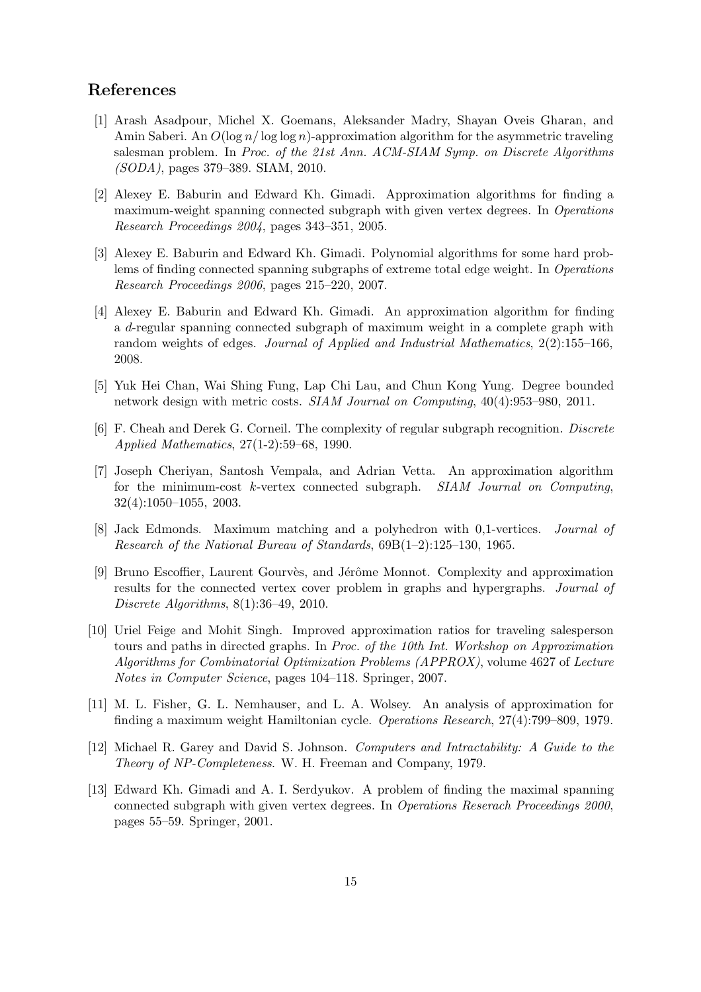## References

- [1] Arash Asadpour, Michel X. Goemans, Aleksander Madry, Shayan Oveis Gharan, and Amin Saberi. An  $O(\log n/\log \log n)$ -approximation algorithm for the asymmetric traveling salesman problem. In Proc. of the 21st Ann. ACM-SIAM Symp. on Discrete Algorithms (SODA), pages 379–389. SIAM, 2010.
- [2] Alexey E. Baburin and Edward Kh. Gimadi. Approximation algorithms for finding a maximum-weight spanning connected subgraph with given vertex degrees. In Operations Research Proceedings 2004, pages 343–351, 2005.
- [3] Alexey E. Baburin and Edward Kh. Gimadi. Polynomial algorithms for some hard problems of finding connected spanning subgraphs of extreme total edge weight. In Operations Research Proceedings 2006, pages 215–220, 2007.
- [4] Alexey E. Baburin and Edward Kh. Gimadi. An approximation algorithm for finding a d-regular spanning connected subgraph of maximum weight in a complete graph with random weights of edges. Journal of Applied and Industrial Mathematics, 2(2):155–166, 2008.
- [5] Yuk Hei Chan, Wai Shing Fung, Lap Chi Lau, and Chun Kong Yung. Degree bounded network design with metric costs. SIAM Journal on Computing, 40(4):953–980, 2011.
- [6] F. Cheah and Derek G. Corneil. The complexity of regular subgraph recognition. Discrete Applied Mathematics, 27(1-2):59–68, 1990.
- [7] Joseph Cheriyan, Santosh Vempala, and Adrian Vetta. An approximation algorithm for the minimum-cost  $k$ -vertex connected subgraph.  $SIAM$  Journal on Computing, 32(4):1050–1055, 2003.
- [8] Jack Edmonds. Maximum matching and a polyhedron with 0,1-vertices. Journal of Research of the National Bureau of Standards, 69B(1–2):125–130, 1965.
- [9] Bruno Escoffier, Laurent Gourvès, and Jérôme Monnot. Complexity and approximation results for the connected vertex cover problem in graphs and hypergraphs. Journal of Discrete Algorithms, 8(1):36–49, 2010.
- [10] Uriel Feige and Mohit Singh. Improved approximation ratios for traveling salesperson tours and paths in directed graphs. In Proc. of the 10th Int. Workshop on Approximation Algorithms for Combinatorial Optimization Problems (APPROX), volume 4627 of Lecture Notes in Computer Science, pages 104–118. Springer, 2007.
- [11] M. L. Fisher, G. L. Nemhauser, and L. A. Wolsey. An analysis of approximation for finding a maximum weight Hamiltonian cycle. Operations Research, 27(4):799–809, 1979.
- [12] Michael R. Garey and David S. Johnson. Computers and Intractability: A Guide to the Theory of NP-Completeness. W. H. Freeman and Company, 1979.
- [13] Edward Kh. Gimadi and A. I. Serdyukov. A problem of finding the maximal spanning connected subgraph with given vertex degrees. In Operations Reserach Proceedings 2000, pages 55–59. Springer, 2001.